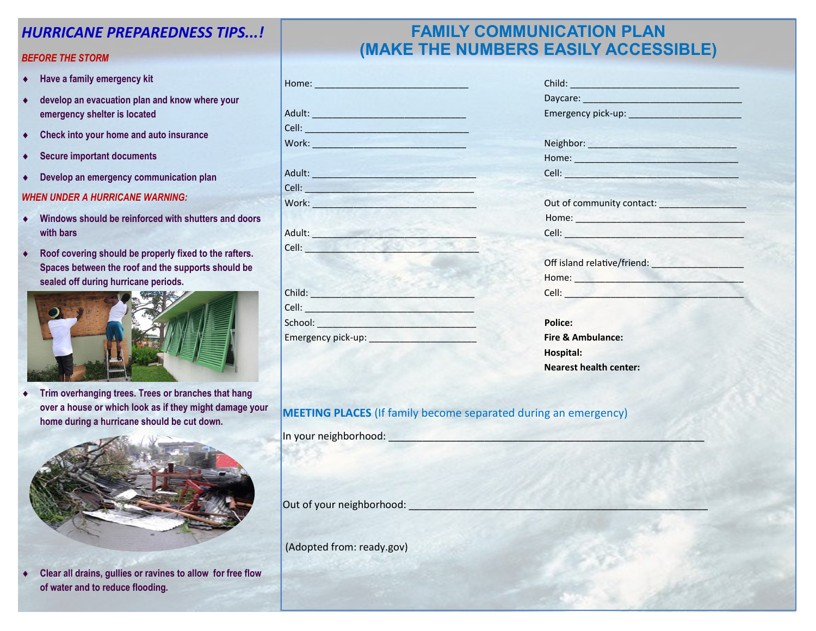### *HURRICANE PREPAREDNESS TIPS...!*

#### *BEFORE THE STORM*

- **Have a family emergency kit**
- **develop an evacuation plan and know where your emergency shelter is located**
- **Check into your home and auto insurance**
- **Secure important documents**
- **Develop an emergency communication plan**

#### *WHEN UNDER A HURRICANE WARNING:*

- **Windows should be reinforced with shutters and doors with bars**
- **Roof covering should be properly fixed to the rafters. Spaces between the roof and the supports should be sealed off during hurricane periods.**



 **Trim overhanging trees. Trees or branches that hang over a house or which look as if they might damage your home during a hurricane should be cut down.**



 **Clear all drains, gullies or ravines to allow for free flow of water and to reduce flooding.**

## **FAMILY COMMUNICATION PLAN (MAKE THE NUMBERS EASILY ACCESSIBLE)**

|                                                                                                                                                                                                                                      | Daycare: New York Daycare:                                                                                                                                                                                                                                                                                                                                                                      |
|--------------------------------------------------------------------------------------------------------------------------------------------------------------------------------------------------------------------------------------|-------------------------------------------------------------------------------------------------------------------------------------------------------------------------------------------------------------------------------------------------------------------------------------------------------------------------------------------------------------------------------------------------|
|                                                                                                                                                                                                                                      |                                                                                                                                                                                                                                                                                                                                                                                                 |
| Cell: <b>Cell Cell Cell Cell Cell Cell Cell Cell Cell Cell Cell Cell Cell Cell Cell Cell Cell Cell Cell Cell Cell Cell Cell Cell Cell Cell Cell Cell Cell Cell Cell</b>                                                              |                                                                                                                                                                                                                                                                                                                                                                                                 |
| Work: Work: What is a strategies of the strategies of the strategies of the strategies of the strategies of the strategies of the strategies of the strategies of the strategies of the strategies of the strategies of the st       | Neighbor: Neighbor:                                                                                                                                                                                                                                                                                                                                                                             |
|                                                                                                                                                                                                                                      | Home: Note: Note: Note: No. 1996. The Second Second Second Second Second Second Second Second Second Second Second Second Second Second Second Second Second Second Second Second Second Second Second Second Second Second Se                                                                                                                                                                  |
|                                                                                                                                                                                                                                      | Cell: <b>Cell</b> : <b>Cell</b> : <b>Cell</b> : <b>Cell</b> : <b>Cell</b> : <b>Cell</b> : <b>Cell</b> : <b>Cell</b> : <b>Cell</b> : <b>Cell</b> : <b>Cell</b> : <b>Cell</b> : <b>Cell</b> : <b>Cell</b> : <b>Cell</b> : <b>Cell</b> : <b>Cell</b> : <b>Cell</b> : <b>Cell</b> : <b>Cell</b> : <b>Cell</b> : <b>Cell</b> : <b>Cell</b> : <b>Cell</b> : <b>Cell</b> : <b>Cell</b> : <b>Cell</b> : |
| Cell: <b>Cell</b> Contract Contract Contract Contract Contract Contract Contract Contract Contract Contract Contract Contract Contract Contract Contract Contract Contract Contract Contract Contract Contract Contract Contract Co  |                                                                                                                                                                                                                                                                                                                                                                                                 |
| Work: Work:                                                                                                                                                                                                                          | Out of community contact:                                                                                                                                                                                                                                                                                                                                                                       |
|                                                                                                                                                                                                                                      |                                                                                                                                                                                                                                                                                                                                                                                                 |
|                                                                                                                                                                                                                                      | Cell: <u>Andrea Maria Alexandria a Continua de la c</u>                                                                                                                                                                                                                                                                                                                                         |
| Cell: <b>Cell</b> :                                                                                                                                                                                                                  |                                                                                                                                                                                                                                                                                                                                                                                                 |
|                                                                                                                                                                                                                                      | Off island relative/friend:                                                                                                                                                                                                                                                                                                                                                                     |
|                                                                                                                                                                                                                                      |                                                                                                                                                                                                                                                                                                                                                                                                 |
| Child: <b>Child:</b>                                                                                                                                                                                                                 | Cell: <b>Cell</b> Cell Contract Contract Contract Contract Contract Contract Contract Contract Contract Contract Contract Contract Contract Contract Contract Contract Contract Contract Contract Contract Contract Contract Contra                                                                                                                                                             |
| Cell: <u>Celling and Celling and Celling and Celling and Celling and Celling and Celling and Celling and Celling and Celling and Celling and Celling and Celling and Celling and Celling and Celling and Celling and Celling and</u> |                                                                                                                                                                                                                                                                                                                                                                                                 |
|                                                                                                                                                                                                                                      | <b>Police:</b>                                                                                                                                                                                                                                                                                                                                                                                  |
|                                                                                                                                                                                                                                      | Fire & Ambulance:                                                                                                                                                                                                                                                                                                                                                                               |

| Work: Work: And Market and Market and Market and Market and Market and Market and Market and Market and Market                                                                                                                                                                                                                                                                                | Neighbor: Neighbor:                                                                                                                                                                                                                                                                                                                                                                             |
|-----------------------------------------------------------------------------------------------------------------------------------------------------------------------------------------------------------------------------------------------------------------------------------------------------------------------------------------------------------------------------------------------|-------------------------------------------------------------------------------------------------------------------------------------------------------------------------------------------------------------------------------------------------------------------------------------------------------------------------------------------------------------------------------------------------|
|                                                                                                                                                                                                                                                                                                                                                                                               | Home: Analysis and the contract of the contract of the contract of the contract of the contract of the contract of the contract of the contract of the contract of the contract of the contract of the contract of the contrac                                                                                                                                                                  |
|                                                                                                                                                                                                                                                                                                                                                                                               | Cell: <b>Cell</b> : <b>Cell</b> : <b>Cell</b> : <b>Cell</b> : <b>Cell</b> : <b>Cell</b> : <b>Cell</b> : <b>Cell</b> : <b>Cell</b> : <b>Cell</b> : <b>Cell</b> : <b>Cell</b> : <b>Cell</b> : <b>Cell</b> : <b>Cell</b> : <b>Cell</b> : <b>Cell</b> : <b>Cell</b> : <b>Cell</b> : <b>Cell</b> : <b>Cell</b> : <b>Cell</b> : <b>Cell</b> : <b>Cell</b> : <b>Cell</b> : <b>Cell</b> : <b>Cell</b> : |
| <b>Cell: Cell</b> : <b>Cell</b> : <b>Cell</b> : <b>Cell</b> : <b>Cell</b> : <b>Cell</b> : <b>Cell</b> : <b>Cell</b> : <b>Cell</b> : <b>Cell</b> : <b>Cell</b> : <b>Cell</b> : <b>Cell</b> : <b>Cell</b> : <b>Cell</b> : <b>Cell</b> : <b>Cell</b> : <b>Cell</b> : <b>Cell</b> : <b>Cell</b> : <b>Cell</b> : <b>Cell</b> : <b>Cell</b> : <b>Cell</b> : <b>Cell</b> : <b>Cell</b> : <b>Cell</b> |                                                                                                                                                                                                                                                                                                                                                                                                 |
|                                                                                                                                                                                                                                                                                                                                                                                               | Out of community contact:                                                                                                                                                                                                                                                                                                                                                                       |
|                                                                                                                                                                                                                                                                                                                                                                                               |                                                                                                                                                                                                                                                                                                                                                                                                 |
| Adult: <b>Adult:</b> Adult: <b>Adult:</b>                                                                                                                                                                                                                                                                                                                                                     | Cell: <b>Cell Cell Cell Cell Cell Cell Cell Cell Cell Cell Cell Cell Cell Cell Cell Cell Cell Cell Cell Cell Cell Cell Cell Cell Cell Cell Cell Cell Cell Cell Cell</b>                                                                                                                                                                                                                         |
| Cell: <b>Cell</b> Contract of the Contract of the Contract of the Contract of the Contract of the Contract of the Contract of the Contract of the Contract of the Contract of the Contract of the Contract of the Contract of the C                                                                                                                                                           |                                                                                                                                                                                                                                                                                                                                                                                                 |
|                                                                                                                                                                                                                                                                                                                                                                                               | Off island relative/friend:                                                                                                                                                                                                                                                                                                                                                                     |
|                                                                                                                                                                                                                                                                                                                                                                                               | Home: New York State State State State State State State State State State State State State State State State State State State State State State State State State State State State State State State State State State Sta                                                                                                                                                                  |
| Child: <b>Child:</b>                                                                                                                                                                                                                                                                                                                                                                          | Cell: <b>Commission</b>                                                                                                                                                                                                                                                                                                                                                                         |
|                                                                                                                                                                                                                                                                                                                                                                                               |                                                                                                                                                                                                                                                                                                                                                                                                 |
|                                                                                                                                                                                                                                                                                                                                                                                               | <b>Police:</b>                                                                                                                                                                                                                                                                                                                                                                                  |
|                                                                                                                                                                                                                                                                                                                                                                                               | Fire & Ambulance:                                                                                                                                                                                                                                                                                                                                                                               |
|                                                                                                                                                                                                                                                                                                                                                                                               | Hospital:                                                                                                                                                                                                                                                                                                                                                                                       |
|                                                                                                                                                                                                                                                                                                                                                                                               | <b>Nearest health center:</b>                                                                                                                                                                                                                                                                                                                                                                   |

#### **MEETING PLACES** (If family become separated during an emergency)

In your neighborhood:

Out of your neighborhood:

(Adopted from: ready.gov)